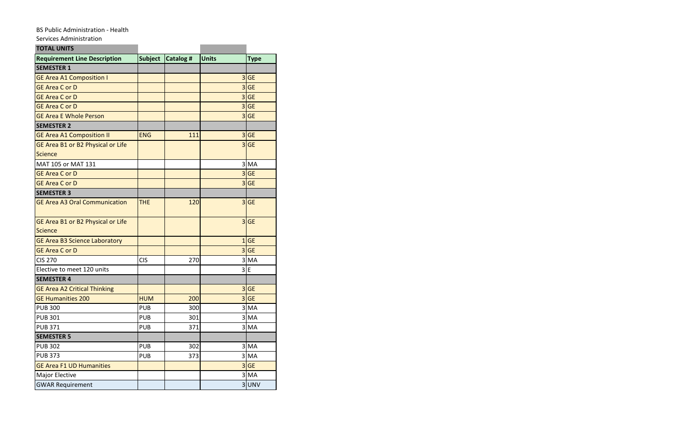## BS Public Administration - Health

Services Administration

| <b>TOTAL UNITS</b>                   |                |           |                         |             |
|--------------------------------------|----------------|-----------|-------------------------|-------------|
| <b>Requirement Line Description</b>  | <b>Subject</b> | Catalog # | Units                   | <b>Type</b> |
| <b>SEMESTER 1</b>                    |                |           |                         |             |
| <b>GE Area A1 Composition I</b>      |                |           | $\overline{\mathbf{3}}$ | <b>GE</b>   |
| <b>GE Area C or D</b>                |                |           | $\overline{3}$          | <b>GE</b>   |
| <b>GE Area C or D</b>                |                |           | 3 <sup>1</sup>          | <b>GE</b>   |
| <b>GE Area C or D</b>                |                |           | 3 <sup>1</sup>          | <b>GE</b>   |
| <b>GE Area E Whole Person</b>        |                |           |                         | $3$ GE      |
| <b>SEMESTER 2</b>                    |                |           |                         |             |
| <b>GE Area A1 Composition II</b>     | <b>ENG</b>     | 111       | $\overline{\mathbf{3}}$ | <b>GE</b>   |
| GE Area B1 or B2 Physical or Life    |                |           | $\overline{3}$          | <b>GE</b>   |
| <b>Science</b>                       |                |           |                         |             |
| MAT 105 or MAT 131                   |                |           |                         | 3 MA        |
| <b>GE Area C or D</b>                |                |           | $\overline{\mathbf{3}}$ | <b>GE</b>   |
| <b>GE Area C or D</b>                |                |           | $\overline{\mathbf{3}}$ | <b>GE</b>   |
| <b>SEMESTER 3</b>                    |                |           |                         |             |
| <b>GE Area A3 Oral Communication</b> | <b>THE</b>     | 120       | 3 <sup>1</sup>          | <b>GE</b>   |
| GE Area B1 or B2 Physical or Life    |                |           | $\overline{\mathbf{3}}$ | <b>GE</b>   |
| Science                              |                |           |                         |             |
| <b>GE Area B3 Science Laboratory</b> |                |           | $1\overline{ }$         | <b>GE</b>   |
| <b>GE Area C or D</b>                |                |           |                         | $3$ GE      |
| <b>CIS 270</b>                       | <b>CIS</b>     | 270       |                         | 3 MA        |
| Elective to meet 120 units           |                |           | $\vert$                 | E           |
| <b>SEMESTER 4</b>                    |                |           |                         |             |
| <b>GE Area A2 Critical Thinking</b>  |                |           | $\overline{\mathbf{3}}$ | <b>GE</b>   |
| <b>GE Humanities 200</b>             | <b>HUM</b>     | 200       | $\overline{3}$          | <b>GE</b>   |
| <b>PUB 300</b>                       | <b>PUB</b>     | 300       | 31                      | <b>MA</b>   |
| <b>PUB 301</b>                       | <b>PUB</b>     | 301       |                         | 3 MA        |
| <b>PUB 371</b>                       | <b>PUB</b>     | 371       |                         | $3$ MA      |
| <b>SEMESTER 5</b>                    |                |           |                         |             |
| <b>PUB 302</b>                       | <b>PUB</b>     | 302       |                         | 3 MA        |
| <b>PUB 373</b>                       | <b>PUB</b>     | 373       |                         | $3$ MA      |
| <b>GE Area F1 UD Humanities</b>      |                |           |                         | $3$ GE      |
| Major Elective                       |                |           |                         | 3 MA        |
| <b>GWAR Requirement</b>              |                |           |                         | 3UNV        |